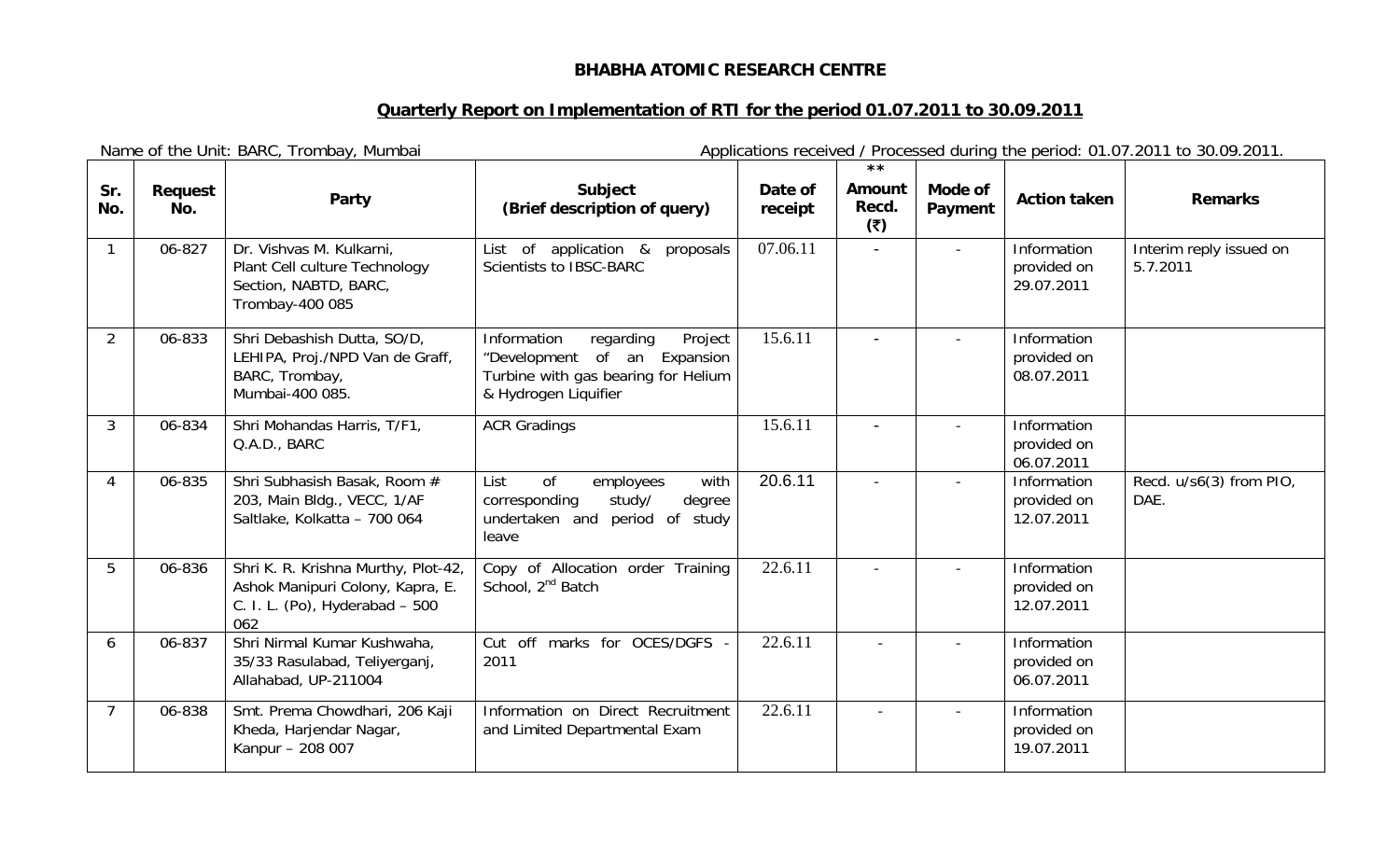## **BHABHA ATOMIC RESEARCH CENTRE**

## **Quarterly Report on Implementation of RTI for the period 01.07.2011 to 30.09.2011**

|                | Name of the Unit: BARC, Trombay, Mumbai |                                                                                                                  |                                                                                                                                       | Applications received / Processed during the period: 01.07.2011 to 30.09.2011. |                                                |                          |                                          |                                     |
|----------------|-----------------------------------------|------------------------------------------------------------------------------------------------------------------|---------------------------------------------------------------------------------------------------------------------------------------|--------------------------------------------------------------------------------|------------------------------------------------|--------------------------|------------------------------------------|-------------------------------------|
| Sr.<br>No.     | Request<br>No.                          | Party                                                                                                            | Subject<br>(Brief description of query)                                                                                               | Date of<br>receipt                                                             | $\star \star$<br><b>Amount</b><br>Recd.<br>(5) | Mode of<br>Payment       | <b>Action taken</b>                      | <b>Remarks</b>                      |
|                | 06-827                                  | Dr. Vishvas M. Kulkarni,<br>Plant Cell culture Technology<br>Section, NABTD, BARC,<br>Trombay-400 085            | List of application &<br>proposals<br>Scientists to IBSC-BARC                                                                         | 07.06.11                                                                       | $\overline{a}$                                 | $\blacksquare$           | Information<br>provided on<br>29.07.2011 | Interim reply issued on<br>5.7.2011 |
| $\overline{2}$ | 06-833                                  | Shri Debashish Dutta, SO/D,<br>LEHIPA, Proj./NPD Van de Graff,<br>BARC, Trombay,<br>Mumbai-400 085.              | Information<br>regarding<br>Project<br>"Development of an<br>Expansion<br>Turbine with gas bearing for Helium<br>& Hydrogen Liquifier | 15.6.11                                                                        |                                                |                          | Information<br>provided on<br>08.07.2011 |                                     |
| $\mathbf{3}$   | 06-834                                  | Shri Mohandas Harris, T/F1,<br>Q.A.D., BARC                                                                      | <b>ACR Gradings</b>                                                                                                                   | 15.6.11                                                                        |                                                | $\overline{a}$           | Information<br>provided on<br>06.07.2011 |                                     |
| 4              | 06-835                                  | Shri Subhasish Basak, Room #<br>203, Main Bldg., VECC, 1/AF<br>Saltlake, Kolkatta - 700 064                      | of<br>List<br>employees<br>with<br>corresponding<br>study/<br>degree<br>undertaken and period<br>of study<br>leave                    | 20.6.11                                                                        |                                                | $\overline{\phantom{a}}$ | Information<br>provided on<br>12.07.2011 | Recd. u/s6(3) from PIO,<br>DAE.     |
| 5              | 06-836                                  | Shri K. R. Krishna Murthy, Plot-42,<br>Ashok Manipuri Colony, Kapra, E.<br>C. I. L. (Po), Hyderabad - 500<br>062 | Copy of Allocation order Training<br>School, 2 <sup>nd</sup> Batch                                                                    | 22.6.11                                                                        |                                                |                          | Information<br>provided on<br>12.07.2011 |                                     |
| 6              | 06-837                                  | Shri Nirmal Kumar Kushwaha,<br>35/33 Rasulabad, Teliyerganj,<br>Allahabad, UP-211004                             | Cut off marks for OCES/DGFS -<br>2011                                                                                                 | 22.6.11                                                                        |                                                | $\blacksquare$           | Information<br>provided on<br>06.07.2011 |                                     |
| $\overline{7}$ | 06-838                                  | Smt. Prema Chowdhari, 206 Kaji<br>Kheda, Harjendar Nagar,<br>Kanpur - 208 007                                    | Information on Direct Recruitment<br>and Limited Departmental Exam                                                                    | 22.6.11                                                                        |                                                |                          | Information<br>provided on<br>19.07.2011 |                                     |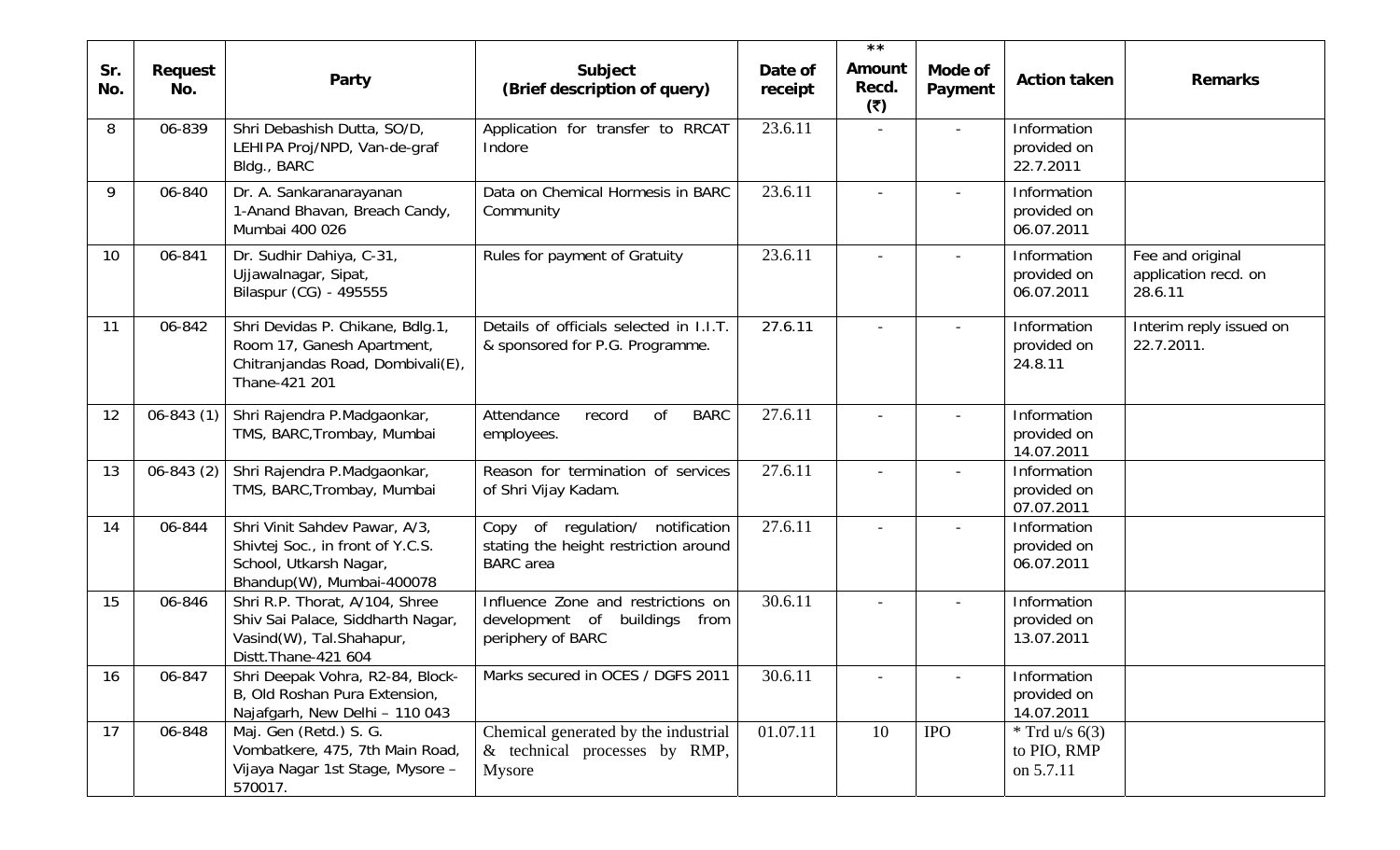|            |                |                                                                                                                          |                                                                                                  |                    | $\star \star$                 |                          |                                              |                                                     |
|------------|----------------|--------------------------------------------------------------------------------------------------------------------------|--------------------------------------------------------------------------------------------------|--------------------|-------------------------------|--------------------------|----------------------------------------------|-----------------------------------------------------|
| Sr.<br>No. | Request<br>No. | Party                                                                                                                    | Subject<br>(Brief description of query)                                                          | Date of<br>receipt | <b>Amount</b><br>Recd.<br>(5) | Mode of<br>Payment       | <b>Action taken</b>                          | <b>Remarks</b>                                      |
| 8          | 06-839         | Shri Debashish Dutta, SO/D,<br>LEHIPA Proj/NPD, Van-de-graf<br>Bldg., BARC                                               | Application for transfer to RRCAT<br>Indore                                                      | 23.6.11            |                               |                          | Information<br>provided on<br>22.7.2011      |                                                     |
| 9          | 06-840         | Dr. A. Sankaranarayanan<br>1-Anand Bhavan, Breach Candy,<br>Mumbai 400 026                                               | Data on Chemical Hormesis in BARC<br>Community                                                   | 23.6.11            |                               | $\overline{\phantom{a}}$ | Information<br>provided on<br>06.07.2011     |                                                     |
| 10         | 06-841         | Dr. Sudhir Dahiya, C-31,<br>Ujjawalnagar, Sipat,<br>Bilaspur (CG) - 495555                                               | Rules for payment of Gratuity                                                                    | 23.6.11            |                               |                          | Information<br>provided on<br>06.07.2011     | Fee and original<br>application recd. on<br>28.6.11 |
| 11         | 06-842         | Shri Devidas P. Chikane, Bdlg.1,<br>Room 17, Ganesh Apartment,<br>Chitranjandas Road, Dombivali(E),<br>Thane-421 201     | Details of officials selected in I.I.T.<br>& sponsored for P.G. Programme.                       | 27.6.11            |                               | $\overline{\phantom{a}}$ | Information<br>provided on<br>24.8.11        | Interim reply issued on<br>22.7.2011.               |
| 12         | $06 - 843(1)$  | Shri Rajendra P.Madgaonkar,<br>TMS, BARC, Trombay, Mumbai                                                                | <b>of</b><br><b>BARC</b><br>Attendance<br>record<br>employees.                                   | 27.6.11            |                               |                          | Information<br>provided on<br>14.07.2011     |                                                     |
| 13         | $06 - 843(2)$  | Shri Rajendra P.Madgaonkar,<br>TMS, BARC, Trombay, Mumbai                                                                | Reason for termination of services<br>of Shri Vijay Kadam.                                       | 27.6.11            |                               |                          | Information<br>provided on<br>07.07.2011     |                                                     |
| 14         | 06-844         | Shri Vinit Sahdev Pawar, A/3,<br>Shivtej Soc., in front of Y.C.S.<br>School, Utkarsh Nagar,<br>Bhandup(W), Mumbai-400078 | of regulation/ notification<br>Copy<br>stating the height restriction around<br><b>BARC</b> area | 27.6.11            |                               | $\overline{\phantom{a}}$ | Information<br>provided on<br>06.07.2011     |                                                     |
| 15         | 06-846         | Shri R.P. Thorat, A/104, Shree<br>Shiv Sai Palace, Siddharth Nagar,<br>Vasind(W), Tal.Shahapur,<br>Distt. Thane-421 604  | Influence Zone and restrictions on<br>development of buildings from<br>periphery of BARC         | 30.6.11            |                               | $\overline{\phantom{a}}$ | Information<br>provided on<br>13.07.2011     |                                                     |
| 16         | 06-847         | Shri Deepak Vohra, R2-84, Block-<br>B, Old Roshan Pura Extension,<br>Najafgarh, New Delhi - 110 043                      | Marks secured in OCES / DGFS 2011                                                                | 30.6.11            |                               |                          | Information<br>provided on<br>14.07.2011     |                                                     |
| 17         | 06-848         | Maj. Gen (Retd.) S. G.<br>Vombatkere, 475, 7th Main Road,<br>Vijaya Nagar 1st Stage, Mysore -<br>570017.                 | Chemical generated by the industrial<br>& technical processes by RMP,<br>Mysore                  | 01.07.11           | 10                            | <b>IPO</b>               | $*$ Trd u/s 6(3)<br>to PIO, RMP<br>on 5.7.11 |                                                     |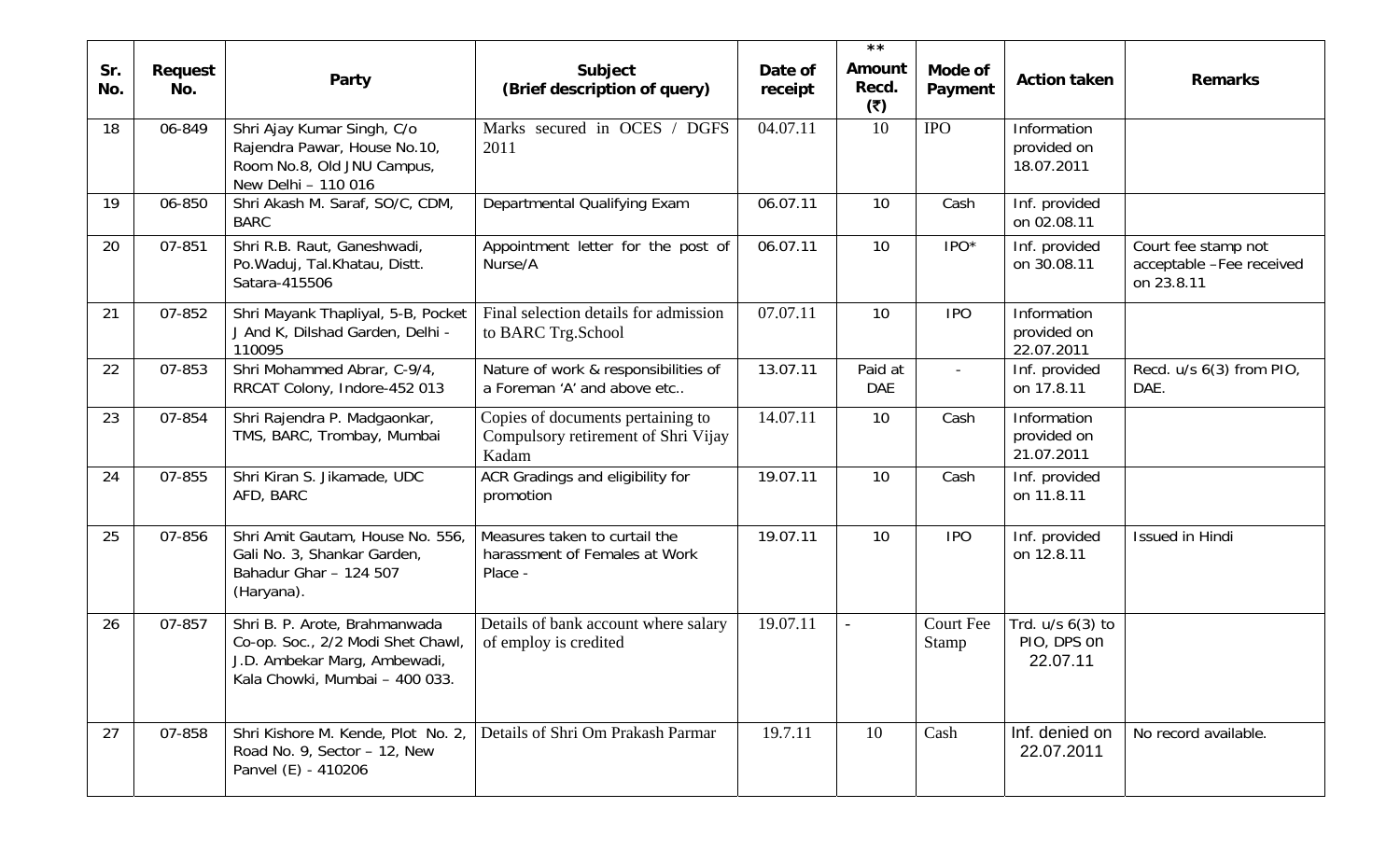| Sr.<br>No. | Request<br>No. | Party                                                                                                                                | Subject<br>(Brief description of query)                                           | Date of<br>receipt | $\star \star$<br><b>Amount</b><br>Recd. | Mode of<br>Payment       | <b>Action taken</b>                             | <b>Remarks</b>                                                |
|------------|----------------|--------------------------------------------------------------------------------------------------------------------------------------|-----------------------------------------------------------------------------------|--------------------|-----------------------------------------|--------------------------|-------------------------------------------------|---------------------------------------------------------------|
|            |                |                                                                                                                                      |                                                                                   |                    | (5)                                     |                          |                                                 |                                                               |
| 18         | 06-849         | Shri Ajay Kumar Singh, C/o<br>Rajendra Pawar, House No.10,<br>Room No.8, Old JNU Campus,<br>New Delhi - 110 016                      | Marks secured in OCES / DGFS<br>2011                                              | 04.07.11           | 10                                      | <b>IPO</b>               | Information<br>provided on<br>18.07.2011        |                                                               |
| 19         | 06-850         | Shri Akash M. Saraf, SO/C, CDM,<br><b>BARC</b>                                                                                       | Departmental Qualifying Exam                                                      | 06.07.11           | 10                                      | Cash                     | Inf. provided<br>on 02.08.11                    |                                                               |
| 20         | 07-851         | Shri R.B. Raut, Ganeshwadi,<br>Po. Waduj, Tal. Khatau, Distt.<br>Satara-415506                                                       | Appointment letter for the post of<br>Nurse/A                                     | 06.07.11           | 10                                      | IPO*                     | Inf. provided<br>on 30.08.11                    | Court fee stamp not<br>acceptable -Fee received<br>on 23.8.11 |
| 21         | 07-852         | Shri Mayank Thapliyal, 5-B, Pocket<br>J And K, Dilshad Garden, Delhi -<br>110095                                                     | Final selection details for admission<br>to BARC Trg.School                       | 07.07.11           | 10                                      | <b>IPO</b>               | Information<br>provided on<br>22.07.2011        |                                                               |
| 22         | 07-853         | Shri Mohammed Abrar, C-9/4,<br>RRCAT Colony, Indore-452 013                                                                          | Nature of work & responsibilities of<br>a Foreman 'A' and above etc               | 13.07.11           | Paid at<br><b>DAE</b>                   | $\overline{\phantom{a}}$ | Inf. provided<br>on 17.8.11                     | Recd. u/s 6(3) from PIO,<br>DAE.                              |
| 23         | 07-854         | Shri Rajendra P. Madgaonkar,<br>TMS, BARC, Trombay, Mumbai                                                                           | Copies of documents pertaining to<br>Compulsory retirement of Shri Vijay<br>Kadam | 14.07.11           | 10                                      | Cash                     | Information<br>provided on<br>21.07.2011        |                                                               |
| 24         | 07-855         | Shri Kiran S. Jikamade, UDC<br>AFD, BARC                                                                                             | ACR Gradings and eligibility for<br>promotion                                     | 19.07.11           | 10                                      | Cash                     | Inf. provided<br>on 11.8.11                     |                                                               |
| 25         | 07-856         | Shri Amit Gautam, House No. 556,<br>Gali No. 3, Shankar Garden,<br>Bahadur Ghar - 124 507<br>(Haryana).                              | Measures taken to curtail the<br>harassment of Females at Work<br>Place -         | 19.07.11           | 10                                      | <b>IPO</b>               | Inf. provided<br>on 12.8.11                     | Issued in Hindi                                               |
| 26         | 07-857         | Shri B. P. Arote, Brahmanwada<br>Co-op. Soc., 2/2 Modi Shet Chawl,<br>J.D. Ambekar Marg, Ambewadi,<br>Kala Chowki, Mumbai - 400 033. | Details of bank account where salary<br>of employ is credited                     | 19.07.11           | $\overline{\phantom{a}}$                | Court Fee<br>Stamp       | Trd. $u/s$ $6(3)$ to<br>PIO, DPS on<br>22.07.11 |                                                               |
| 27         | 07-858         | Shri Kishore M. Kende, Plot No. 2,<br>Road No. 9, Sector - 12, New<br>Panvel (E) - 410206                                            | Details of Shri Om Prakash Parmar                                                 | 19.7.11            | 10                                      | Cash                     | Inf. denied on<br>22.07.2011                    | No record available.                                          |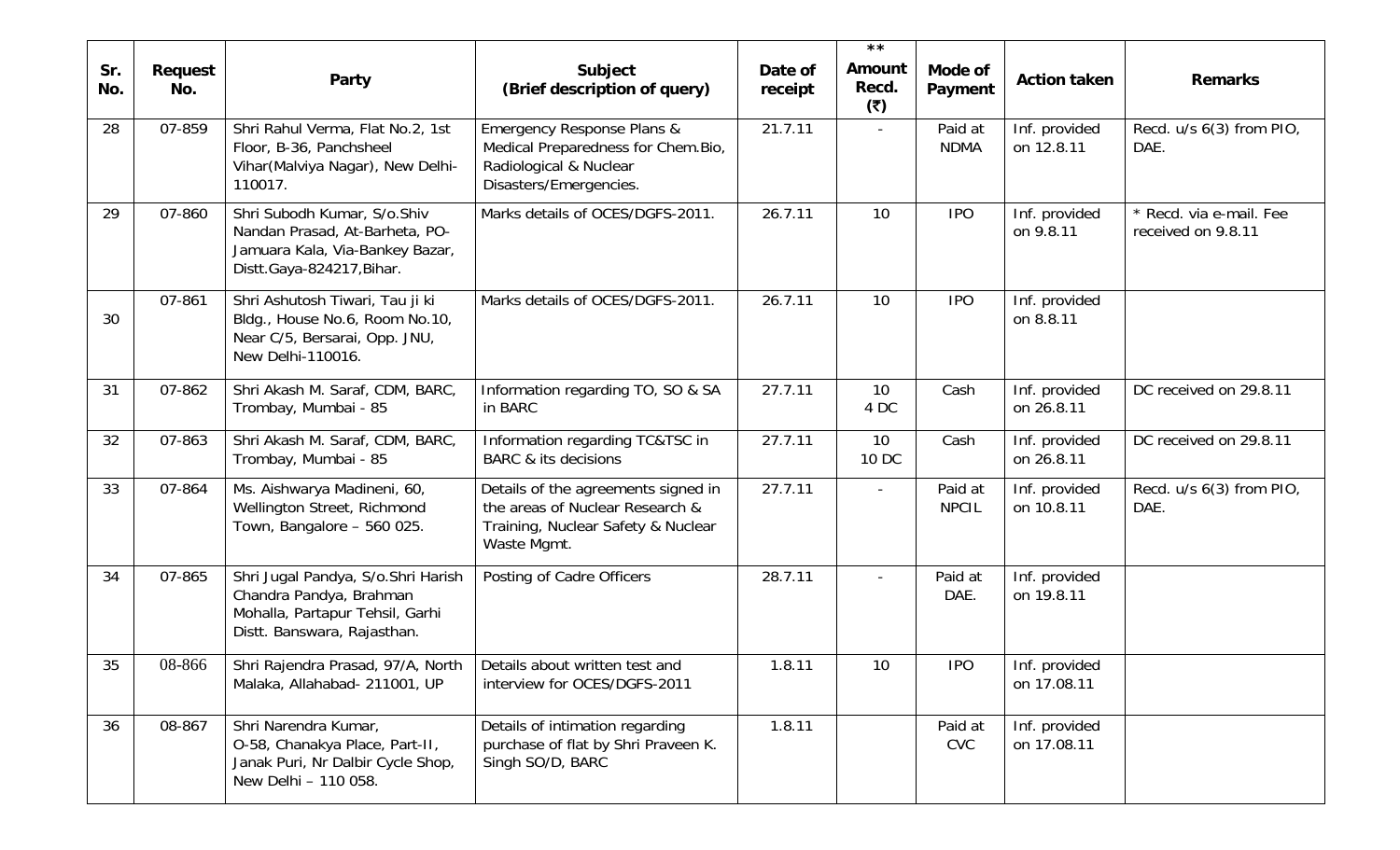| Sr.<br>No. | Request<br>No. | Party                                                                                                                           | Subject<br>(Brief description of query)                                                                                         | Date of<br>receipt | $\star \star$<br>Amount<br>Recd. | Mode of<br>Payment      | <b>Action taken</b>          | <b>Remarks</b>                                |
|------------|----------------|---------------------------------------------------------------------------------------------------------------------------------|---------------------------------------------------------------------------------------------------------------------------------|--------------------|----------------------------------|-------------------------|------------------------------|-----------------------------------------------|
| 28         | 07-859         | Shri Rahul Verma, Flat No.2, 1st<br>Floor, B-36, Panchsheel<br>Vihar(Malviya Nagar), New Delhi-<br>110017.                      | <b>Emergency Response Plans &amp;</b><br>Medical Preparedness for Chem.Bio,<br>Radiological & Nuclear<br>Disasters/Emergencies. | 21.7.11            | (5)                              | Paid at<br><b>NDMA</b>  | Inf. provided<br>on 12.8.11  | Recd. u/s 6(3) from PIO,<br>DAE.              |
| 29         | 07-860         | Shri Subodh Kumar, S/o.Shiv<br>Nandan Prasad, At-Barheta, PO-<br>Jamuara Kala, Via-Bankey Bazar,<br>Distt.Gaya-824217, Bihar.   | Marks details of OCES/DGFS-2011.                                                                                                | 26.7.11            | 10                               | <b>IPO</b>              | Inf. provided<br>on 9.8.11   | * Recd. via e-mail. Fee<br>received on 9.8.11 |
| 30         | 07-861         | Shri Ashutosh Tiwari, Tau ji ki<br>Bldg., House No.6, Room No.10,<br>Near C/5, Bersarai, Opp. JNU,<br>New Delhi-110016.         | Marks details of OCES/DGFS-2011.                                                                                                | 26.7.11            | 10                               | <b>IPO</b>              | Inf. provided<br>on 8.8.11   |                                               |
| 31         | 07-862         | Shri Akash M. Saraf, CDM, BARC,<br>Trombay, Mumbai - 85                                                                         | Information regarding TO, SO & SA<br>in BARC                                                                                    | 27.7.11            | 10<br>4 DC                       | Cash                    | Inf. provided<br>on 26.8.11  | DC received on 29.8.11                        |
| 32         | 07-863         | Shri Akash M. Saraf, CDM, BARC,<br>Trombay, Mumbai - 85                                                                         | Information regarding TC&TSC in<br><b>BARC &amp; its decisions</b>                                                              | 27.7.11            | 10<br>10 DC                      | Cash                    | Inf. provided<br>on 26.8.11  | DC received on 29.8.11                        |
| 33         | 07-864         | Ms. Aishwarya Madineni, 60,<br>Wellington Street, Richmond<br>Town, Bangalore - 560 025.                                        | Details of the agreements signed in<br>the areas of Nuclear Research &<br>Training, Nuclear Safety & Nuclear<br>Waste Mgmt.     | 27.7.11            |                                  | Paid at<br><b>NPCIL</b> | Inf. provided<br>on 10.8.11  | Recd. u/s 6(3) from PIO,<br>DAE.              |
| 34         | 07-865         | Shri Jugal Pandya, S/o.Shri Harish<br>Chandra Pandya, Brahman<br>Mohalla, Partapur Tehsil, Garhi<br>Distt. Banswara, Rajasthan. | Posting of Cadre Officers                                                                                                       | 28.7.11            |                                  | Paid at<br>DAE.         | Inf. provided<br>on 19.8.11  |                                               |
| 35         | 08-866         | Shri Rajendra Prasad, 97/A, North<br>Malaka, Allahabad- 211001, UP                                                              | Details about written test and<br>interview for OCES/DGFS-2011                                                                  | 1.8.11             | 10                               | <b>IPO</b>              | Inf. provided<br>on 17.08.11 |                                               |
| 36         | 08-867         | Shri Narendra Kumar,<br>O-58, Chanakya Place, Part-II,<br>Janak Puri, Nr Dalbir Cycle Shop,<br>New Delhi - 110 058.             | Details of intimation regarding<br>purchase of flat by Shri Praveen K.<br>Singh SO/D, BARC                                      | 1.8.11             |                                  | Paid at<br><b>CVC</b>   | Inf. provided<br>on 17.08.11 |                                               |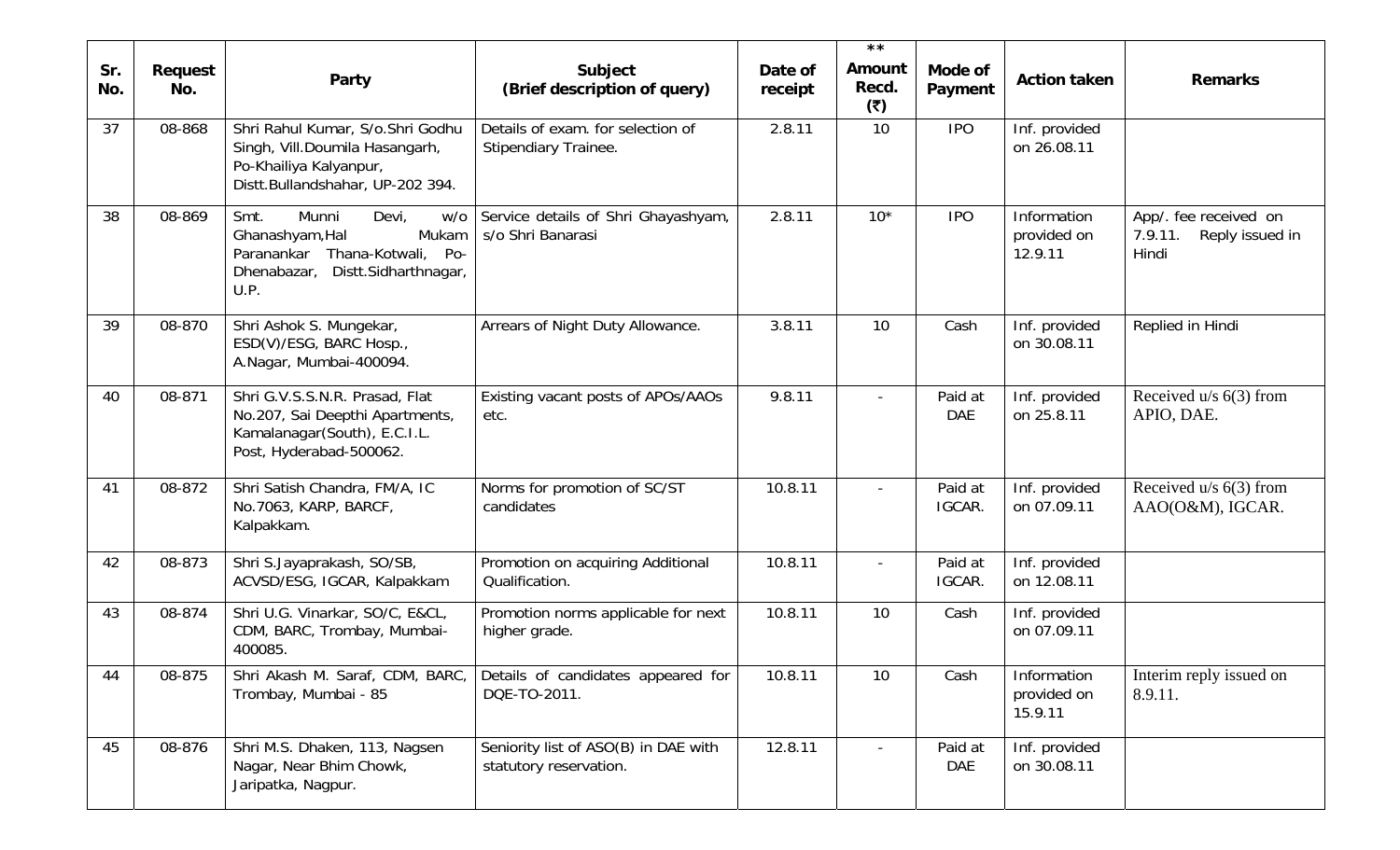| Sr.<br>No. | Request<br>No. | Party                                                                                                                                        | Subject<br>(Brief description of query)                        | Date of<br>receipt | $\star \star$<br>Amount<br>Recd.<br>(5) | Mode of<br>Payment    | <b>Action taken</b>                   | <b>Remarks</b>                                               |
|------------|----------------|----------------------------------------------------------------------------------------------------------------------------------------------|----------------------------------------------------------------|--------------------|-----------------------------------------|-----------------------|---------------------------------------|--------------------------------------------------------------|
| 37         | 08-868         | Shri Rahul Kumar, S/o.Shri Godhu<br>Singh, Vill.Doumila Hasangarh,<br>Po-Khailiya Kalyanpur,<br>Distt.Bullandshahar, UP-202 394.             | Details of exam. for selection of<br>Stipendiary Trainee.      | 2.8.11             | 10                                      | <b>IPO</b>            | Inf. provided<br>on 26.08.11          |                                                              |
| 38         | 08-869         | Munni<br>Smt.<br>Devi,<br>w/o<br>Ghanashyam, Hal<br>Mukam<br>Thana-Kotwali, Po-<br>Paranankar<br>Dhenabazar,<br>Distt.Sidharthnagar,<br>U.P. | Service details of Shri Ghayashyam,<br>s/o Shri Banarasi       | 2.8.11             | $10*$                                   | <b>IPO</b>            | Information<br>provided on<br>12.9.11 | App/. fee received on<br>Reply issued in<br>7.9.11.<br>Hindi |
| 39         | 08-870         | Shri Ashok S. Mungekar,<br>ESD(V)/ESG, BARC Hosp.,<br>A.Nagar, Mumbai-400094.                                                                | Arrears of Night Duty Allowance.                               | 3.8.11             | 10                                      | Cash                  | Inf. provided<br>on 30.08.11          | Replied in Hindi                                             |
| 40         | 08-871         | Shri G.V.S.S.N.R. Prasad, Flat<br>No.207, Sai Deepthi Apartments,<br>Kamalanagar(South), E.C.I.L.<br>Post, Hyderabad-500062.                 | Existing vacant posts of APOs/AAOs<br>etc.                     | 9.8.11             |                                         | Paid at<br><b>DAE</b> | Inf. provided<br>on 25.8.11           | Received $u/s$ 6(3) from<br>APIO, DAE.                       |
| 41         | 08-872         | Shri Satish Chandra, FM/A, IC<br>No.7063, KARP, BARCF,<br>Kalpakkam.                                                                         | Norms for promotion of SC/ST<br>candidates                     | 10.8.11            |                                         | Paid at<br>IGCAR.     | Inf. provided<br>on 07.09.11          | Received $u/s$ 6(3) from<br>AAO(O&M), IGCAR.                 |
| 42         | 08-873         | Shri S.Jayaprakash, SO/SB,<br>ACVSD/ESG, IGCAR, Kalpakkam                                                                                    | Promotion on acquiring Additional<br>Qualification.            | 10.8.11            |                                         | Paid at<br>IGCAR.     | Inf. provided<br>on 12.08.11          |                                                              |
| 43         | 08-874         | Shri U.G. Vinarkar, SO/C, E&CL,<br>CDM, BARC, Trombay, Mumbai-<br>400085.                                                                    | Promotion norms applicable for next<br>higher grade.           | 10.8.11            | 10                                      | Cash                  | Inf. provided<br>on 07.09.11          |                                                              |
| 44         | 08-875         | Shri Akash M. Saraf, CDM, BARC,<br>Trombay, Mumbai - 85                                                                                      | Details of candidates appeared for<br>DQE-TO-2011.             | 10.8.11            | 10                                      | Cash                  | Information<br>provided on<br>15.9.11 | Interim reply issued on<br>8.9.11.                           |
| 45         | 08-876         | Shri M.S. Dhaken, 113, Nagsen<br>Nagar, Near Bhim Chowk,<br>Jaripatka, Nagpur.                                                               | Seniority list of ASO(B) in DAE with<br>statutory reservation. | 12.8.11            |                                         | Paid at<br><b>DAE</b> | Inf. provided<br>on 30.08.11          |                                                              |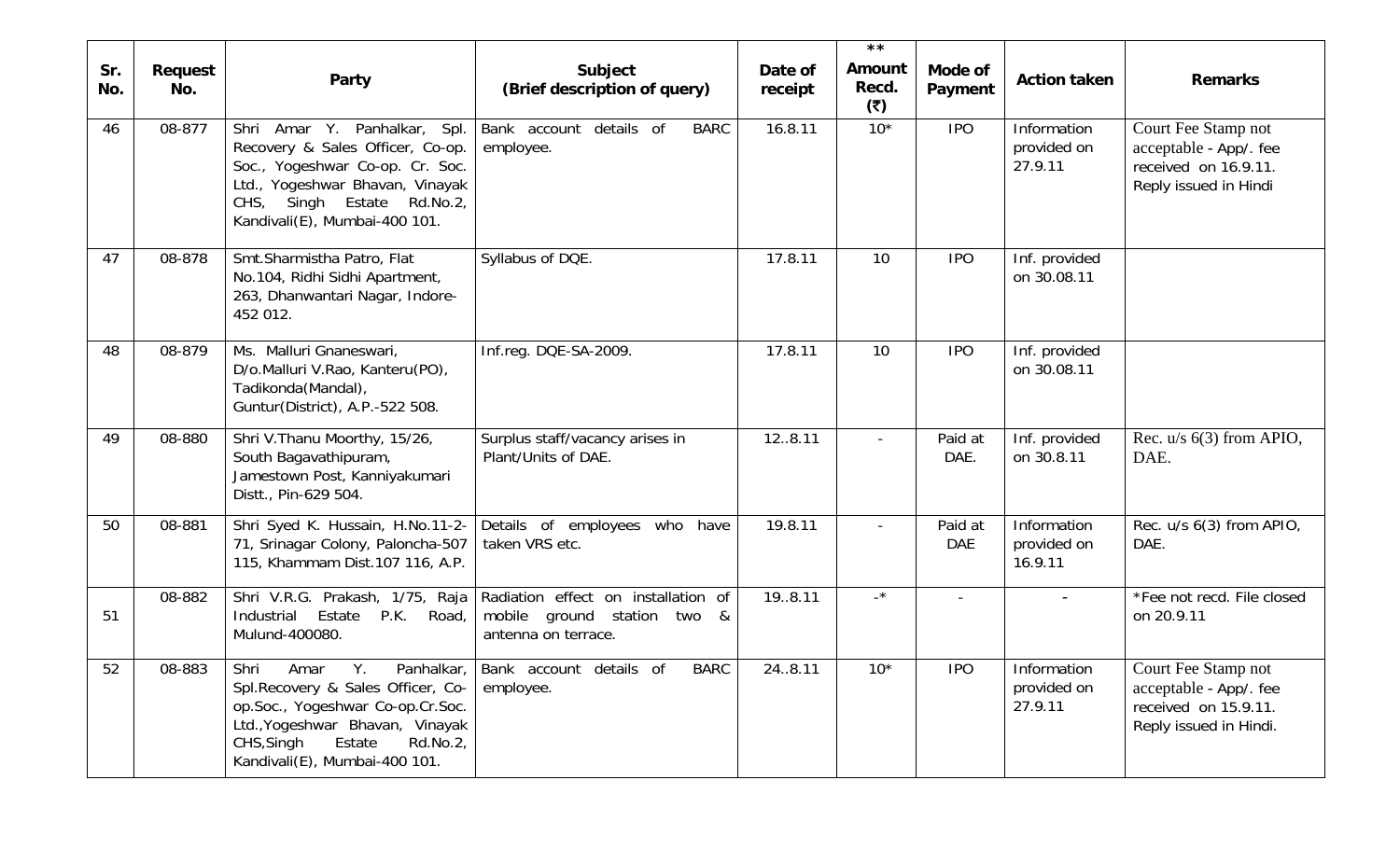|            |                |                                                                                                                                                                                                                    |                                                                                           |                    | $\star \star$            |                       |                                       |                                                                                                 |
|------------|----------------|--------------------------------------------------------------------------------------------------------------------------------------------------------------------------------------------------------------------|-------------------------------------------------------------------------------------------|--------------------|--------------------------|-----------------------|---------------------------------------|-------------------------------------------------------------------------------------------------|
| Sr.<br>No. | Request<br>No. | Party                                                                                                                                                                                                              | Subject<br>(Brief description of query)                                                   | Date of<br>receipt | Amount<br>Recd.<br>(5)   | Mode of<br>Payment    | <b>Action taken</b>                   | <b>Remarks</b>                                                                                  |
| 46         | 08-877         | Shri Amar Y. Panhalkar, Spl.<br>Recovery & Sales Officer, Co-op.<br>Soc., Yogeshwar Co-op. Cr. Soc.<br>Ltd., Yogeshwar Bhavan, Vinayak<br>CHS, Singh Estate Rd.No.2,<br>Kandivali(E), Mumbai-400 101.              | details of<br><b>BARC</b><br>Bank account<br>employee.                                    | 16.8.11            | $10*$                    | <b>IPO</b>            | Information<br>provided on<br>27.9.11 | Court Fee Stamp not<br>acceptable - App/. fee<br>received on 16.9.11.<br>Reply issued in Hindi  |
| 47         | 08-878         | Smt.Sharmistha Patro, Flat<br>No.104, Ridhi Sidhi Apartment,<br>263, Dhanwantari Nagar, Indore-<br>452 012.                                                                                                        | Syllabus of DQE.                                                                          | 17.8.11            | 10                       | <b>IPO</b>            | Inf. provided<br>on 30.08.11          |                                                                                                 |
| 48         | 08-879         | Ms. Malluri Gnaneswari,<br>D/o.Malluri V.Rao, Kanteru(PO),<br>Tadikonda(Mandal),<br>Guntur(District), A.P.-522 508.                                                                                                | Inf.reg. DQE-SA-2009.                                                                     | 17.8.11            | 10                       | <b>IPO</b>            | Inf. provided<br>on 30.08.11          |                                                                                                 |
| 49         | 08-880         | Shri V.Thanu Moorthy, 15/26,<br>South Bagavathipuram,<br>Jamestown Post, Kanniyakumari<br>Distt., Pin-629 504.                                                                                                     | Surplus staff/vacancy arises in<br>Plant/Units of DAE.                                    | 128.11             |                          | Paid at<br>DAE.       | Inf. provided<br>on 30.8.11           | Rec. $u/s$ 6(3) from APIO,<br>DAE.                                                              |
| 50         | 08-881         | Shri Syed K. Hussain, H.No.11-2-<br>71, Srinagar Colony, Paloncha-507<br>115, Khammam Dist.107 116, A.P.                                                                                                           | Details of employees who<br>have<br>taken VRS etc.                                        | 19.8.11            | $\overline{\phantom{0}}$ | Paid at<br><b>DAE</b> | Information<br>provided on<br>16.9.11 | Rec. u/s 6(3) from APIO,<br>DAE.                                                                |
| 51         | 08-882         | Shri V.R.G. Prakash, 1/75, Raja<br>Estate<br>P.K. Road,<br>Industrial<br>Mulund-400080.                                                                                                                            | Radiation effect on installation of<br>mobile ground station two &<br>antenna on terrace. | 19.8.11            | $\mathbf{r}$             |                       |                                       | *Fee not recd. File closed<br>on 20.9.11                                                        |
| 52         | 08-883         | Shri<br>Υ.<br>Panhalkar,<br>Amar<br>Spl. Recovery & Sales Officer, Co-<br>op.Soc., Yogeshwar Co-op.Cr.Soc.<br>Ltd., Yogeshwar Bhavan, Vinayak<br>CHS, Singh<br>Estate<br>Rd.No.2,<br>Kandivali(E), Mumbai-400 101. | <b>BARC</b><br>Bank account details of<br>employee.                                       | 248.11             | $10*$                    | <b>IPO</b>            | Information<br>provided on<br>27.9.11 | Court Fee Stamp not<br>acceptable - App/. fee<br>received on 15.9.11.<br>Reply issued in Hindi. |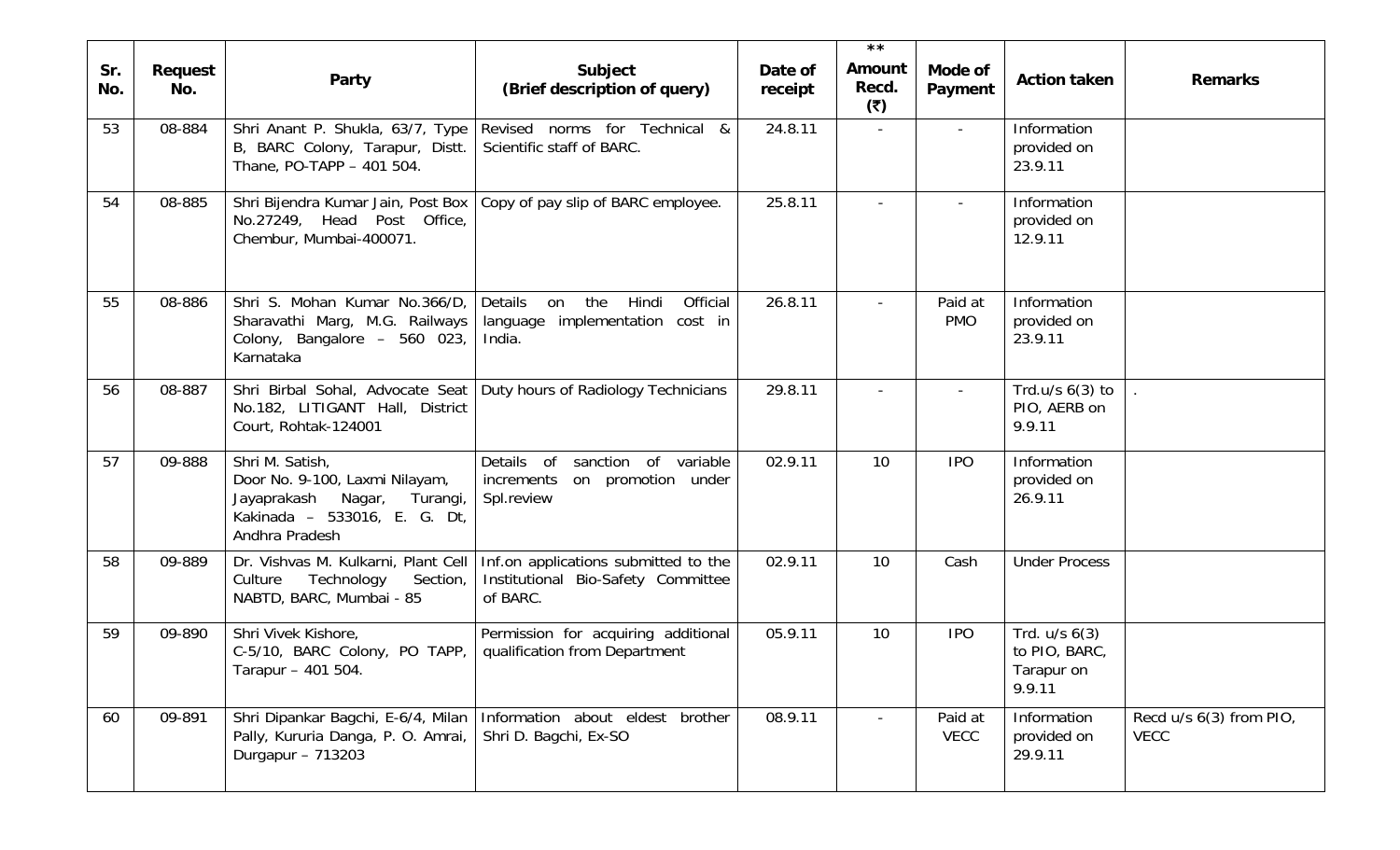|            |                |                                                                                                                                       |                                                                                                                              |                    | $\star \star$                 |                          |                                                            |                                        |
|------------|----------------|---------------------------------------------------------------------------------------------------------------------------------------|------------------------------------------------------------------------------------------------------------------------------|--------------------|-------------------------------|--------------------------|------------------------------------------------------------|----------------------------------------|
| Sr.<br>No. | Request<br>No. | Party                                                                                                                                 | Subject<br>(Brief description of query)                                                                                      | Date of<br>receipt | <b>Amount</b><br>Recd.<br>(5) | Mode of<br>Payment       | <b>Action taken</b>                                        | <b>Remarks</b>                         |
| 53         | 08-884         | Shri Anant P. Shukla, 63/7, Type<br>B, BARC Colony, Tarapur, Distt.<br>Thane, PO-TAPP - 401 504.                                      | Revised norms for Technical &<br>Scientific staff of BARC.                                                                   | 24.8.11            | $\sim$                        | $\overline{\phantom{a}}$ | Information<br>provided on<br>23.9.11                      |                                        |
| 54         | 08-885         | No.27249, Head Post Office,<br>Chembur, Mumbai-400071.                                                                                | Shri Bijendra Kumar Jain, Post Box   Copy of pay slip of BARC employee.                                                      | 25.8.11            |                               |                          | Information<br>provided on<br>12.9.11                      |                                        |
| 55         | 08-886         | Shri S. Mohan Kumar No.366/D,<br>Sharavathi Marg, M.G. Railways<br>Colony, Bangalore - 560 023,<br>Karnataka                          | Details<br>Hindi<br>Official<br>the<br>on<br>language implementation cost in<br>India.                                       | 26.8.11            |                               | Paid at<br><b>PMO</b>    | Information<br>provided on<br>23.9.11                      |                                        |
| 56         | 08-887         | Shri Birbal Sohal, Advocate Seat<br>No.182, LITIGANT Hall, District<br>Court, Rohtak-124001                                           | Duty hours of Radiology Technicians                                                                                          | 29.8.11            |                               |                          | Trd.u/s $6(3)$ to<br>PIO, AERB on<br>9.9.11                |                                        |
| 57         | 09-888         | Shri M. Satish,<br>Door No. 9-100, Laxmi Nilayam,<br>Jayaprakash<br>Nagar, Turangi,<br>Kakinada - 533016, E. G. Dt,<br>Andhra Pradesh | Details of sanction of variable<br>increments on promotion under<br>Spl.review                                               | 02.9.11            | 10                            | <b>IPO</b>               | Information<br>provided on<br>26.9.11                      |                                        |
| 58         | 09-889         | Culture<br>Technology<br>Section,<br>NABTD, BARC, Mumbai - 85                                                                         | Dr. Vishvas M. Kulkarni, Plant Cell   Inf.on applications submitted to the<br>Institutional Bio-Safety Committee<br>of BARC. | 02.9.11            | 10                            | Cash                     | <b>Under Process</b>                                       |                                        |
| 59         | 09-890         | Shri Vivek Kishore,<br>C-5/10, BARC Colony, PO TAPP,<br>Tarapur - 401 504.                                                            | Permission for acquiring additional<br>qualification from Department                                                         | 05.9.11            | 10                            | <b>IPO</b>               | Trd. $u/s$ $6(3)$<br>to PIO, BARC,<br>Tarapur on<br>9.9.11 |                                        |
| 60         | 09-891         | Shri Dipankar Bagchi, E-6/4, Milan<br>Pally, Kururia Danga, P. O. Amrai,<br>Durgapur - 713203                                         | Information about eldest<br>brother<br>Shri D. Bagchi, Ex-SO                                                                 | 08.9.11            |                               | Paid at<br><b>VECC</b>   | Information<br>provided on<br>29.9.11                      | Recd u/s 6(3) from PIO,<br><b>VECC</b> |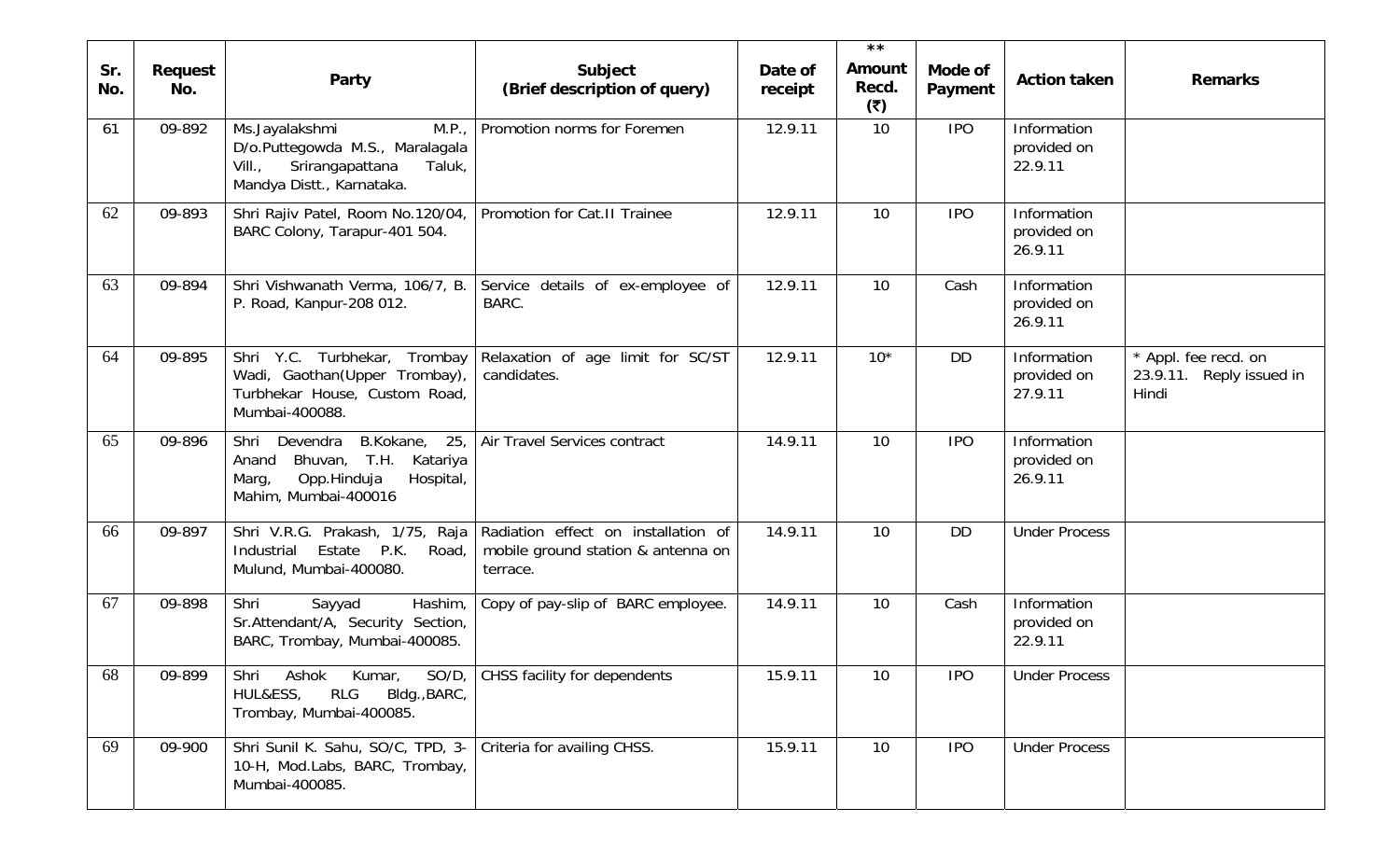|            |                |                                                                                                                                     |                                                                                       |                    | $\star \star$                 |                    |                                       |                                                           |
|------------|----------------|-------------------------------------------------------------------------------------------------------------------------------------|---------------------------------------------------------------------------------------|--------------------|-------------------------------|--------------------|---------------------------------------|-----------------------------------------------------------|
| Sr.<br>No. | Request<br>No. | Party                                                                                                                               | Subject<br>(Brief description of query)                                               | Date of<br>receipt | <b>Amount</b><br>Recd.<br>(5) | Mode of<br>Payment | <b>Action taken</b>                   | <b>Remarks</b>                                            |
| 61         | 09-892         | Ms.Jayalakshmi<br>M.P.,<br>D/o.Puttegowda M.S., Maralagala<br>Srirangapattana<br>$VIII.$ ,<br>Taluk,<br>Mandya Distt., Karnataka.   | Promotion norms for Foremen                                                           | 12.9.11            | 10                            | <b>IPO</b>         | Information<br>provided on<br>22.9.11 |                                                           |
| 62         | 09-893         | Shri Rajiv Patel, Room No.120/04,<br>BARC Colony, Tarapur-401 504.                                                                  | Promotion for Cat.II Trainee                                                          | 12.9.11            | 10                            | <b>IPO</b>         | Information<br>provided on<br>26.9.11 |                                                           |
| 63         | 09-894         | Shri Vishwanath Verma, 106/7, B.<br>P. Road, Kanpur-208 012.                                                                        | Service details of ex-employee of<br>BARC.                                            | 12.9.11            | 10                            | Cash               | Information<br>provided on<br>26.9.11 |                                                           |
| 64         | 09-895         | Shri Y.C. Turbhekar, Trombay<br>Wadi, Gaothan(Upper Trombay),<br>Turbhekar House, Custom Road,<br>Mumbai-400088.                    | Relaxation of age limit for SC/ST<br>candidates.                                      | 12.9.11            | $10*$                         | <b>DD</b>          | Information<br>provided on<br>27.9.11 | * Appl. fee recd. on<br>23.9.11. Reply issued in<br>Hindi |
| 65         | 09-896         | Shri Devendra<br>B.Kokane,<br>25,<br>Bhuvan, T.H.<br>Katariya<br>Anand<br>Opp.Hinduja<br>Hospital,<br>Marg,<br>Mahim, Mumbai-400016 | Air Travel Services contract                                                          | 14.9.11            | 10                            | <b>IPO</b>         | Information<br>provided on<br>26.9.11 |                                                           |
| 66         | 09-897         | Shri V.R.G. Prakash, 1/75, Raja<br>Estate P.K.<br>Industrial<br>Road,<br>Mulund, Mumbai-400080.                                     | Radiation effect on installation of<br>mobile ground station & antenna on<br>terrace. | 14.9.11            | 10                            | <b>DD</b>          | <b>Under Process</b>                  |                                                           |
| 67         | 09-898         | Shri<br>Sayyad<br>Hashim,<br>Sr.Attendant/A, Security Section,<br>BARC, Trombay, Mumbai-400085.                                     | Copy of pay-slip of BARC employee.                                                    | 14.9.11            | 10                            | Cash               | Information<br>provided on<br>22.9.11 |                                                           |
| 68         | 09-899         | Kumar,<br>$SO/D$ ,<br>Shri<br>Ashok<br><b>RLG</b><br>HUL&ESS,<br>Bldg., BARC,<br>Trombay, Mumbai-400085.                            | CHSS facility for dependents                                                          | 15.9.11            | 10                            | <b>IPO</b>         | <b>Under Process</b>                  |                                                           |
| 69         | 09-900         | Shri Sunil K. Sahu, SO/C, TPD, 3-<br>10-H, Mod.Labs, BARC, Trombay,<br>Mumbai-400085.                                               | Criteria for availing CHSS.                                                           | 15.9.11            | 10                            | <b>IPO</b>         | <b>Under Process</b>                  |                                                           |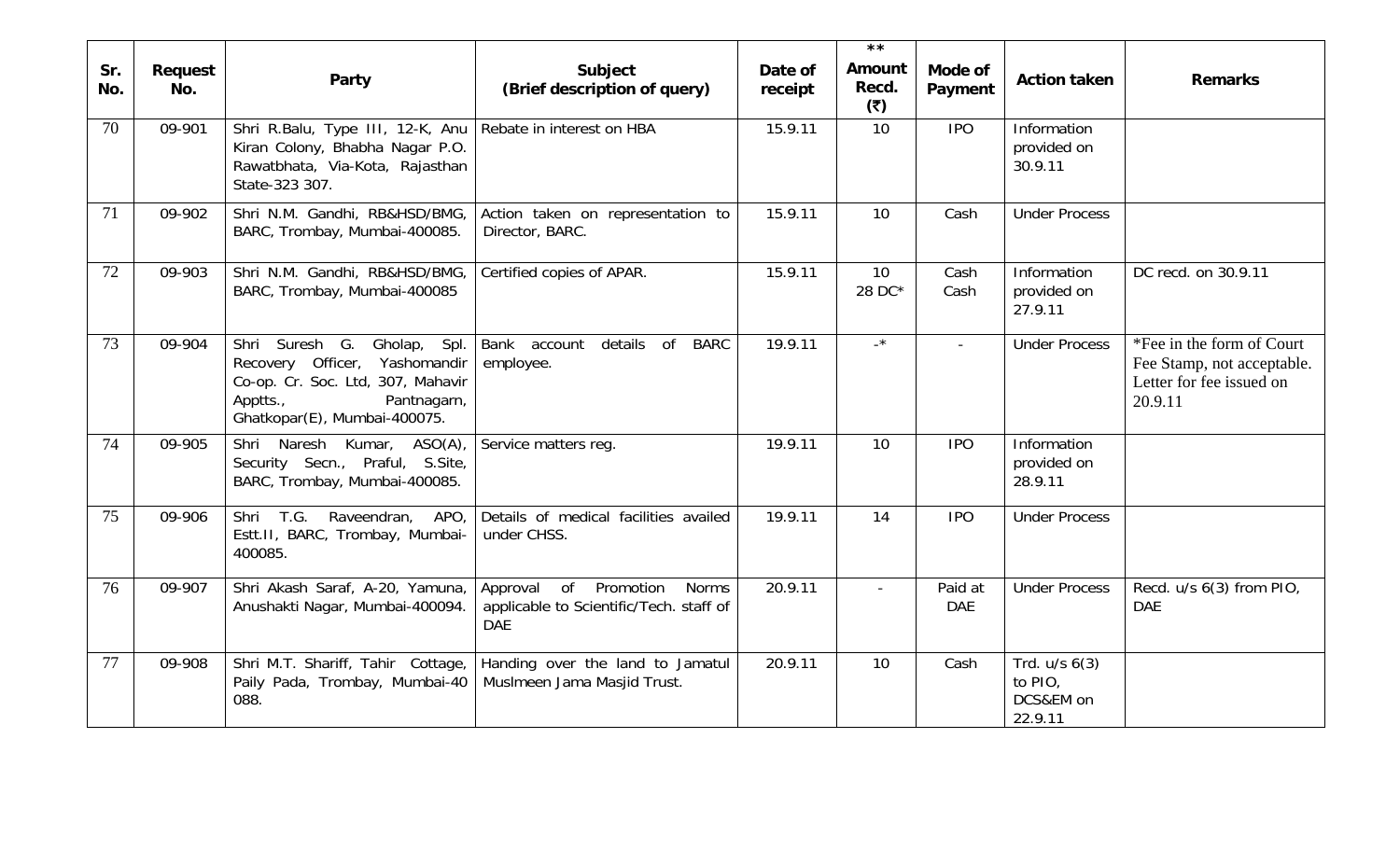|            |                |                                                                                                                                                                 |                                                                                                                  |                    | $\star \star$                 |                       |                                                      |                                                                                                |
|------------|----------------|-----------------------------------------------------------------------------------------------------------------------------------------------------------------|------------------------------------------------------------------------------------------------------------------|--------------------|-------------------------------|-----------------------|------------------------------------------------------|------------------------------------------------------------------------------------------------|
| Sr.<br>No. | Request<br>No. | Party                                                                                                                                                           | Subject<br>(Brief description of query)                                                                          | Date of<br>receipt | <b>Amount</b><br>Recd.<br>(5) | Mode of<br>Payment    | <b>Action taken</b>                                  | <b>Remarks</b>                                                                                 |
| 70         | 09-901         | Shri R.Balu, Type III, 12-K, Anu<br>Kiran Colony, Bhabha Nagar P.O.<br>Rawatbhata, Via-Kota, Rajasthan<br>State-323 307.                                        | Rebate in interest on HBA                                                                                        | 15.9.11            | 10                            | <b>IPO</b>            | Information<br>provided on<br>30.9.11                |                                                                                                |
| 71         | 09-902         | Shri N.M. Gandhi, RB&HSD/BMG,<br>BARC, Trombay, Mumbai-400085.                                                                                                  | Action taken on representation to<br>Director, BARC.                                                             | 15.9.11            | 10                            | Cash                  | <b>Under Process</b>                                 |                                                                                                |
| 72         | 09-903         | Shri N.M. Gandhi, RB&HSD/BMG,<br>BARC, Trombay, Mumbai-400085                                                                                                   | Certified copies of APAR.                                                                                        | 15.9.11            | 10<br>28 DC*                  | Cash<br>Cash          | Information<br>provided on<br>27.9.11                | DC recd. on 30.9.11                                                                            |
| 73         | 09-904         | Shri Suresh G.<br>Gholap, Spl.<br>Recovery Officer, Yashomandir<br>Co-op. Cr. Soc. Ltd, 307, Mahavir<br>Pantnagarn,<br>Apptts.,<br>Ghatkopar(E), Mumbai-400075. | details of<br>Bank account<br><b>BARC</b><br>employee.                                                           | 19.9.11            | $\overline{\phantom{a}}$      | $\sim$                | <b>Under Process</b>                                 | *Fee in the form of Court<br>Fee Stamp, not acceptable.<br>Letter for fee issued on<br>20.9.11 |
| 74         | 09-905         | Shri Naresh Kumar, ASO(A),<br>Security Secn., Praful, S.Site,<br>BARC, Trombay, Mumbai-400085.                                                                  | Service matters reg.                                                                                             | 19.9.11            | 10                            | <b>IPO</b>            | Information<br>provided on<br>28.9.11                |                                                                                                |
| 75         | 09-906         | Shri T.G.<br>Raveendran,<br>APO,<br>Estt.II, BARC, Trombay, Mumbai-<br>400085.                                                                                  | Details of medical facilities availed<br>under CHSS.                                                             | 19.9.11            | 14                            | <b>IPO</b>            | <b>Under Process</b>                                 |                                                                                                |
| 76         | 09-907         | Shri Akash Saraf, A-20, Yamuna,<br>Anushakti Nagar, Mumbai-400094.                                                                                              | o <sub>f</sub><br>Approval<br>Promotion<br><b>Norms</b><br>applicable to Scientific/Tech. staff of<br><b>DAE</b> | 20.9.11            |                               | Paid at<br><b>DAE</b> | <b>Under Process</b>                                 | Recd. u/s 6(3) from PIO,<br><b>DAE</b>                                                         |
| 77         | 09-908         | Shri M.T. Shariff, Tahir Cottage,<br>Paily Pada, Trombay, Mumbai-40<br>088.                                                                                     | Handing over the land to Jamatul<br>Muslmeen Jama Masjid Trust.                                                  | 20.9.11            | 10                            | Cash                  | Trd. $u/s$ $6(3)$<br>to PIO,<br>DCS&EM on<br>22.9.11 |                                                                                                |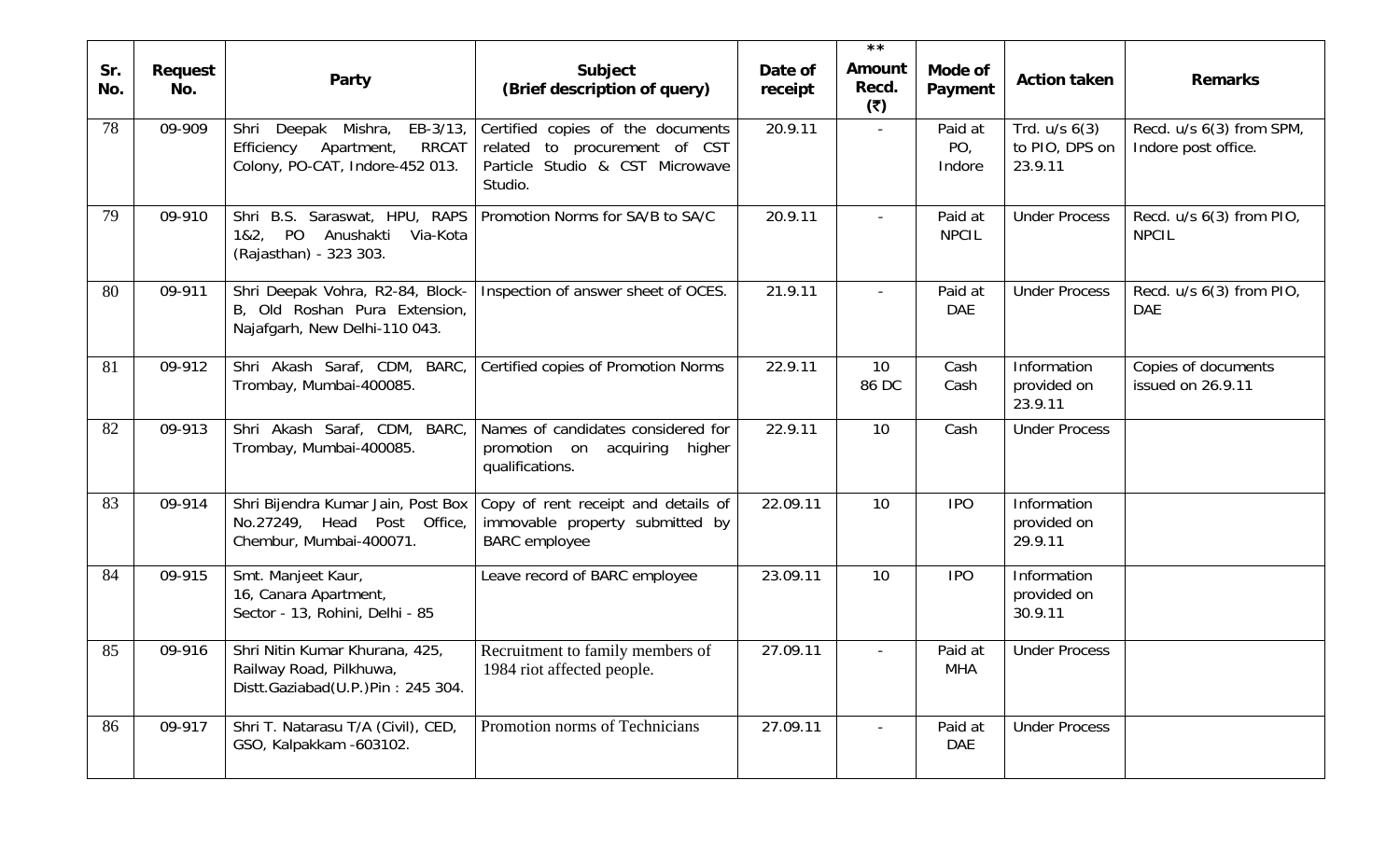| Sr.<br>No. | Request<br>No. | Party                                                                                                          | Subject<br>(Brief description of query)                                                                          | Date of<br>receipt | $\star \star$<br><b>Amount</b><br>Recd.<br>(5) | Mode of<br>Payment                   | <b>Action taken</b>                            | <b>Remarks</b>                                  |
|------------|----------------|----------------------------------------------------------------------------------------------------------------|------------------------------------------------------------------------------------------------------------------|--------------------|------------------------------------------------|--------------------------------------|------------------------------------------------|-------------------------------------------------|
| 78         | 09-909         | EB-3/13,<br>Shri<br>Deepak Mishra,<br><b>RRCAT</b><br>Efficiency Apartment,<br>Colony, PO-CAT, Indore-452 013. | Certified copies of the documents<br>related to procurement of CST<br>Particle Studio & CST Microwave<br>Studio. | 20.9.11            | $\sim$                                         | Paid at<br>PO <sub>1</sub><br>Indore | Trd. $u/s$ $6(3)$<br>to PIO, DPS on<br>23.9.11 | Recd. u/s 6(3) from SPM,<br>Indore post office. |
| 79         | 09-910         | Shri B.S. Saraswat, HPU, RAPS<br>1&2, PO<br>Anushakti Via-Kota<br>(Rajasthan) - 323 303.                       | Promotion Norms for SA/B to SA/C                                                                                 | 20.9.11            | $\sim$                                         | Paid at<br><b>NPCIL</b>              | <b>Under Process</b>                           | Recd. u/s 6(3) from PIO,<br><b>NPCIL</b>        |
| 80         | 09-911         | Shri Deepak Vohra, R2-84, Block-<br>B, Old Roshan Pura Extension,<br>Najafgarh, New Delhi-110 043.             | Inspection of answer sheet of OCES.                                                                              | 21.9.11            | $\sim$                                         | Paid at<br><b>DAE</b>                | <b>Under Process</b>                           | Recd. u/s 6(3) from PIO,<br><b>DAE</b>          |
| 81         | 09-912         | Shri Akash Saraf, CDM, BARC,<br>Trombay, Mumbai-400085.                                                        | Certified copies of Promotion Norms                                                                              | 22.9.11            | 10<br>86 DC                                    | Cash<br>Cash                         | Information<br>provided on<br>23.9.11          | Copies of documents<br>issued on 26.9.11        |
| 82         | 09-913         | Shri Akash Saraf, CDM, BARC,<br>Trombay, Mumbai-400085.                                                        | Names of candidates considered for<br>promotion on acquiring<br>higher<br>qualifications.                        | 22.9.11            | 10                                             | Cash                                 | <b>Under Process</b>                           |                                                 |
| 83         | 09-914         | Shri Bijendra Kumar Jain, Post Box<br>No.27249, Head Post Office,<br>Chembur, Mumbai-400071.                   | Copy of rent receipt and details of<br>immovable property submitted by<br><b>BARC</b> employee                   | 22.09.11           | 10                                             | <b>IPO</b>                           | Information<br>provided on<br>29.9.11          |                                                 |
| 84         | 09-915         | Smt. Manjeet Kaur,<br>16, Canara Apartment,<br>Sector - 13, Rohini, Delhi - 85                                 | Leave record of BARC employee                                                                                    | 23.09.11           | 10 <sup>°</sup>                                | <b>IPO</b>                           | Information<br>provided on<br>30.9.11          |                                                 |
| 85         | 09-916         | Shri Nitin Kumar Khurana, 425,<br>Railway Road, Pilkhuwa,<br>Distt.Gaziabad(U.P.)Pin: 245 304.                 | Recruitment to family members of<br>1984 riot affected people.                                                   | 27.09.11           |                                                | Paid at<br><b>MHA</b>                | <b>Under Process</b>                           |                                                 |
| 86         | 09-917         | Shri T. Natarasu T/A (Civil), CED,<br>GSO, Kalpakkam -603102.                                                  | Promotion norms of Technicians                                                                                   | 27.09.11           |                                                | Paid at<br>DAE                       | <b>Under Process</b>                           |                                                 |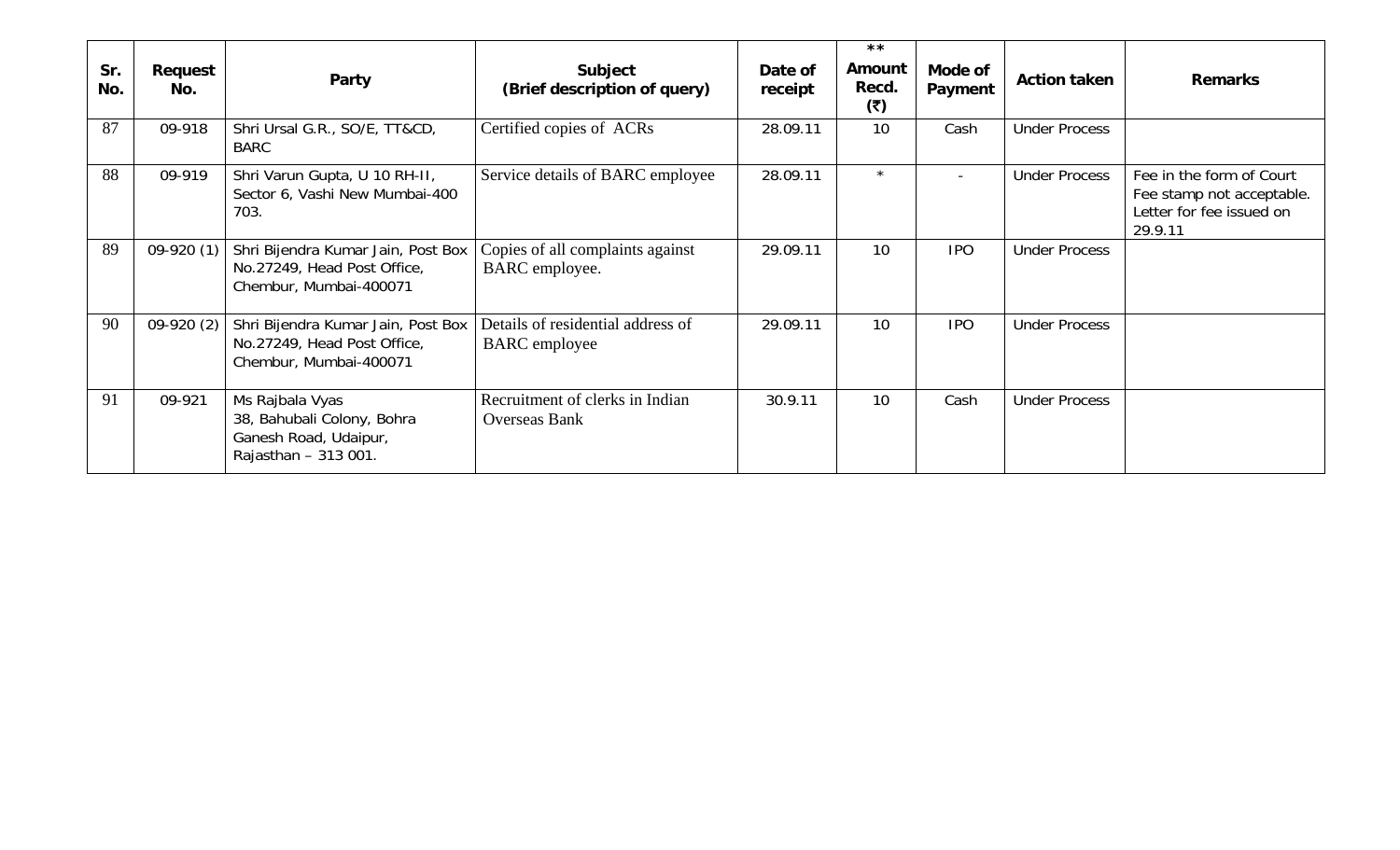| Sr.<br>No. | Request<br>No. | Party                                                                                          | Subject<br>(Brief description of query)                   | Date of<br>receipt | $\star \star$<br>Amount<br>Recd.<br>(3) | Mode of<br>Payment       | <b>Action taken</b>  | <b>Remarks</b>                                                                               |
|------------|----------------|------------------------------------------------------------------------------------------------|-----------------------------------------------------------|--------------------|-----------------------------------------|--------------------------|----------------------|----------------------------------------------------------------------------------------------|
| 87         | 09-918         | Shri Ursal G.R., SO/E, TT&CD,<br><b>BARC</b>                                                   | Certified copies of ACRs                                  | 28.09.11           | 10                                      | Cash                     | <b>Under Process</b> |                                                                                              |
| 88         | 09-919         | Shri Varun Gupta, U 10 RH-II,<br>Sector 6, Vashi New Mumbai-400<br>703.                        | Service details of BARC employee                          | 28.09.11           | $\star$                                 | $\overline{\phantom{a}}$ | <b>Under Process</b> | Fee in the form of Court<br>Fee stamp not acceptable.<br>Letter for fee issued on<br>29.9.11 |
| 89         | $09-920(1)$    | Shri Bijendra Kumar Jain, Post Box<br>No.27249, Head Post Office,<br>Chembur, Mumbai-400071    | Copies of all complaints against<br>BARC employee.        | 29.09.11           | 10                                      | <b>IPO</b>               | <b>Under Process</b> |                                                                                              |
| 90         | $09-920(2)$    | Shri Bijendra Kumar Jain, Post Box<br>No.27249, Head Post Office,<br>Chembur, Mumbai-400071    | Details of residential address of<br><b>BARC</b> employee | 29.09.11           | 10                                      | <b>IPO</b>               | <b>Under Process</b> |                                                                                              |
| 91         | 09-921         | Ms Rajbala Vyas<br>38, Bahubali Colony, Bohra<br>Ganesh Road, Udaipur,<br>Rajasthan - 313 001. | Recruitment of clerks in Indian<br><b>Overseas Bank</b>   | 30.9.11            | 10                                      | Cash                     | <b>Under Process</b> |                                                                                              |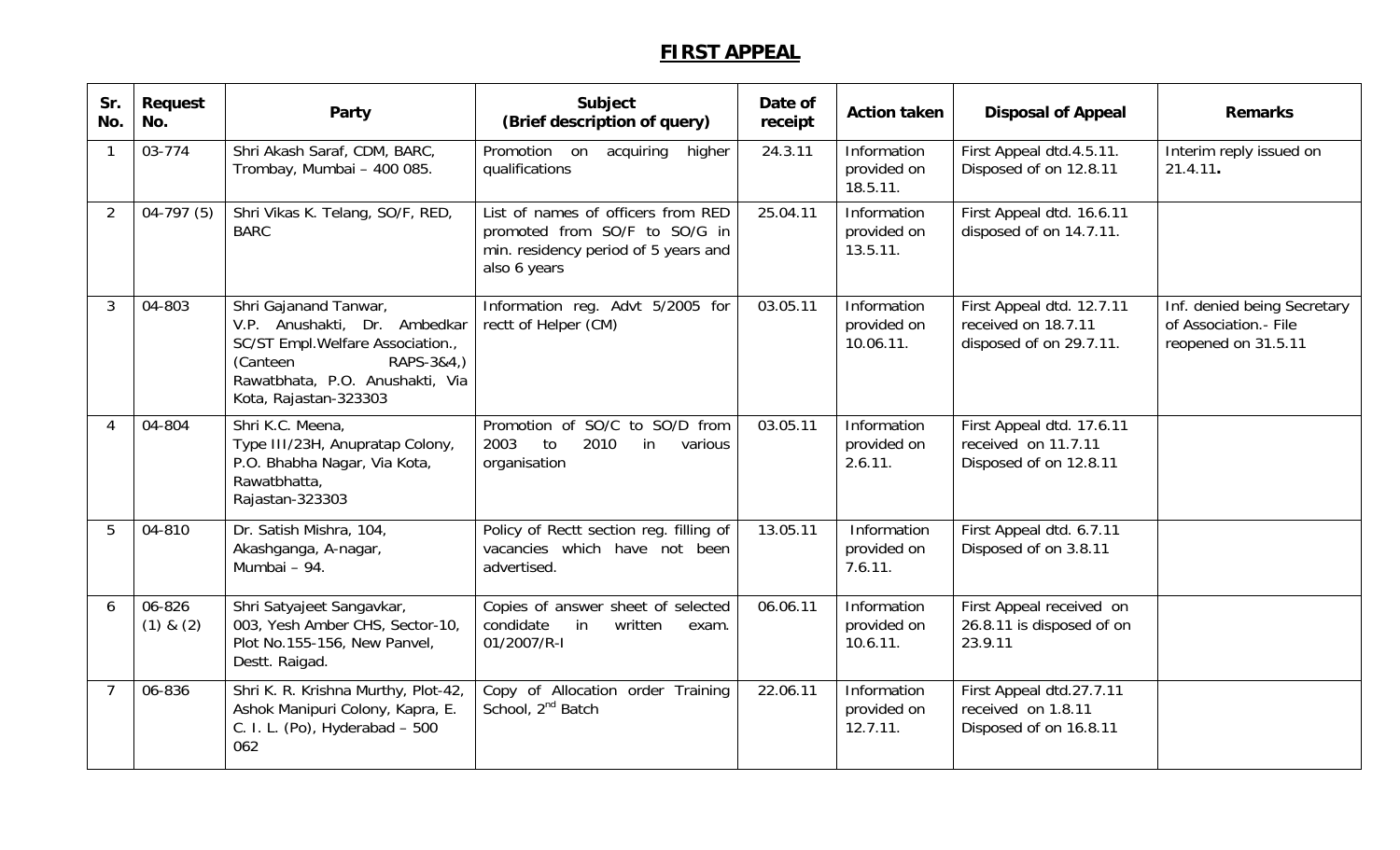## **FIRST APPEAL**

| Sr.<br>No.                | Request<br>No.          | Party                                                                                                                                                                            | Subject<br>(Brief description of query)                                                                                     | Date of<br>receipt | <b>Action taken</b>                     | <b>Disposal of Appeal</b>                                                   | <b>Remarks</b>                                                              |
|---------------------------|-------------------------|----------------------------------------------------------------------------------------------------------------------------------------------------------------------------------|-----------------------------------------------------------------------------------------------------------------------------|--------------------|-----------------------------------------|-----------------------------------------------------------------------------|-----------------------------------------------------------------------------|
| 1                         | 03-774                  | Shri Akash Saraf, CDM, BARC,<br>Trombay, Mumbai - 400 085.                                                                                                                       | Promotion on acquiring<br>higher<br>qualifications                                                                          | 24.3.11            | Information<br>provided on<br>18.5.11.  | First Appeal dtd.4.5.11.<br>Disposed of on 12.8.11                          | Interim reply issued on<br>21.4.11.                                         |
| $\overline{2}$            | $04-797(5)$             | Shri Vikas K. Telang, SO/F, RED,<br><b>BARC</b>                                                                                                                                  | List of names of officers from RED<br>promoted from SO/F to SO/G in<br>min. residency period of 5 years and<br>also 6 years | 25.04.11           | Information<br>provided on<br>13.5.11.  | First Appeal dtd. 16.6.11<br>disposed of on 14.7.11.                        |                                                                             |
| 3                         | 04-803                  | Shri Gajanand Tanwar,<br>V.P. Anushakti, Dr. Ambedkar<br>SC/ST Empl. Welfare Association.,<br>RAPS-3&4,)<br>(Canteen<br>Rawatbhata, P.O. Anushakti, Via<br>Kota, Rajastan-323303 | Information reg. Advt 5/2005 for<br>rectt of Helper (CM)                                                                    | 03.05.11           | Information<br>provided on<br>10.06.11. | First Appeal dtd. 12.7.11<br>received on 18.7.11<br>disposed of on 29.7.11. | Inf. denied being Secretary<br>of Association.- File<br>reopened on 31.5.11 |
| $\boldsymbol{\varLambda}$ | 04-804                  | Shri K.C. Meena,<br>Type III/23H, Anupratap Colony,<br>P.O. Bhabha Nagar, Via Kota,<br>Rawatbhatta,<br>Rajastan-323303                                                           | Promotion of SO/C to SO/D from<br>2010<br>2003<br>to<br>in<br>various<br>organisation                                       | 03.05.11           | Information<br>provided on<br>2.6.11.   | First Appeal dtd. 17.6.11<br>received on 11.7.11<br>Disposed of on 12.8.11  |                                                                             |
| 5                         | 04-810                  | Dr. Satish Mishra, 104,<br>Akashganga, A-nagar,<br>Mumbai - 94.                                                                                                                  | Policy of Rectt section reg. filling of<br>vacancies which have not been<br>advertised.                                     | 13.05.11           | Information<br>provided on<br>7.6.11.   | First Appeal dtd. 6.7.11<br>Disposed of on 3.8.11                           |                                                                             |
| 6                         | 06-826<br>$(1)$ & $(2)$ | Shri Satyajeet Sangavkar,<br>003, Yesh Amber CHS, Sector-10,<br>Plot No.155-156, New Panvel,<br>Destt. Raigad.                                                                   | Copies of answer sheet of selected<br>condidate<br>written<br>in<br>exam.<br>01/2007/R-I                                    | 06.06.11           | Information<br>provided on<br>10.6.11.  | First Appeal received on<br>26.8.11 is disposed of on<br>23.9.11            |                                                                             |
|                           | 06-836                  | Shri K. R. Krishna Murthy, Plot-42,<br>Ashok Manipuri Colony, Kapra, E.<br>C. I. L. (Po), Hyderabad - 500<br>062                                                                 | Copy of Allocation order Training<br>School, 2 <sup>nd</sup> Batch                                                          | 22.06.11           | Information<br>provided on<br>12.7.11.  | First Appeal dtd.27.7.11<br>received on 1.8.11<br>Disposed of on 16.8.11    |                                                                             |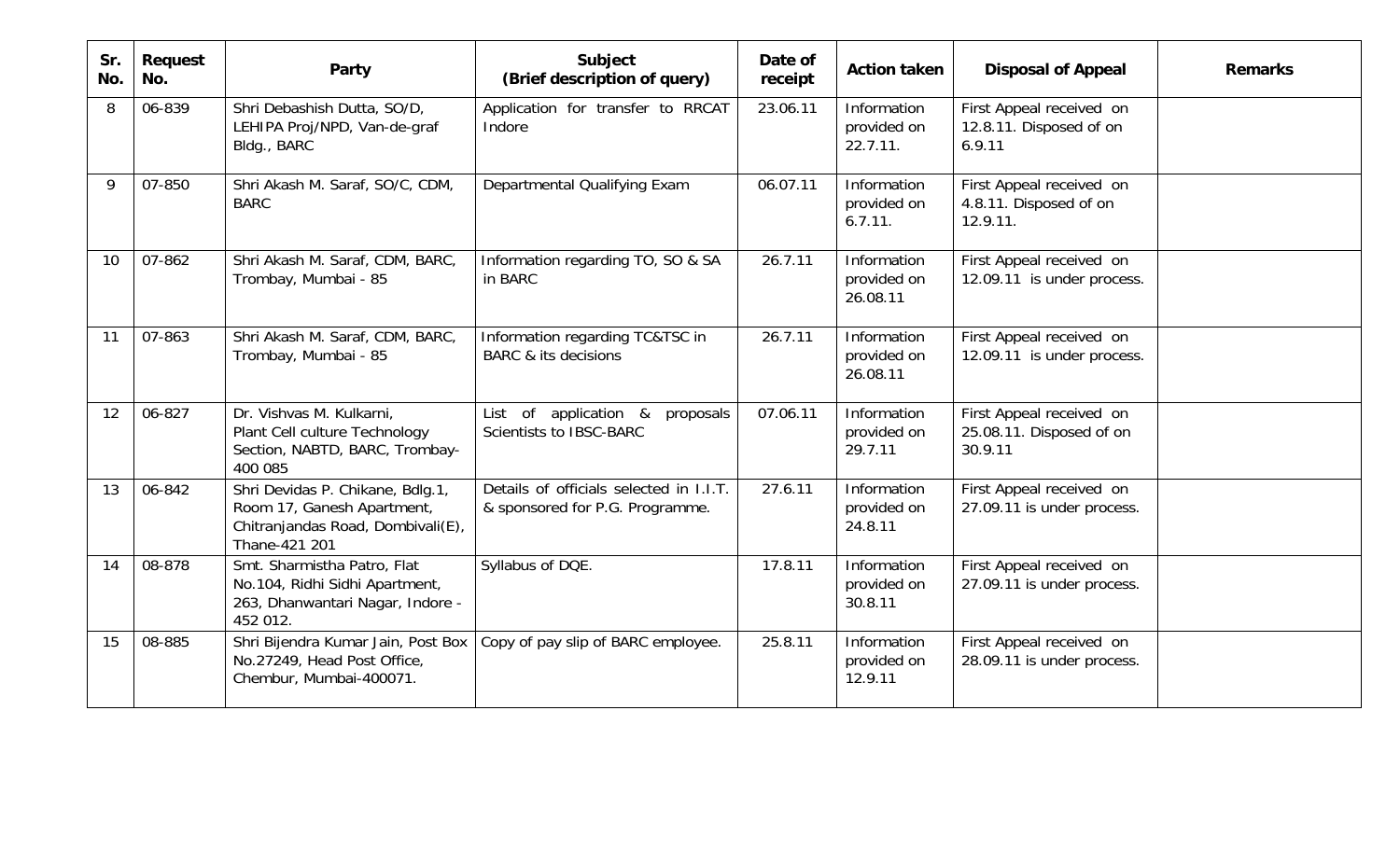| Sr.<br>No. | Request<br>No. | Party                                                                                                                | Subject<br>(Brief description of query)                                    | Date of<br>receipt | <b>Action taken</b>                    | <b>Disposal of Appeal</b>                                       | <b>Remarks</b> |
|------------|----------------|----------------------------------------------------------------------------------------------------------------------|----------------------------------------------------------------------------|--------------------|----------------------------------------|-----------------------------------------------------------------|----------------|
| 8          | 06-839         | Shri Debashish Dutta, SO/D,<br>LEHIPA Proj/NPD, Van-de-graf<br>Bldg., BARC                                           | Application for transfer to RRCAT<br>Indore                                | 23.06.11           | Information<br>provided on<br>22.7.11. | First Appeal received on<br>12.8.11. Disposed of on<br>6.9.11   |                |
| 9          | 07-850         | Shri Akash M. Saraf, SO/C, CDM,<br><b>BARC</b>                                                                       | Departmental Qualifying Exam                                               | 06.07.11           | Information<br>provided on<br>6.7.11.  | First Appeal received on<br>4.8.11. Disposed of on<br>12.9.11.  |                |
| 10         | 07-862         | Shri Akash M. Saraf, CDM, BARC,<br>Trombay, Mumbai - 85                                                              | Information regarding TO, SO & SA<br>in BARC                               | 26.7.11            | Information<br>provided on<br>26.08.11 | First Appeal received on<br>12.09.11 is under process.          |                |
| 11         | 07-863         | Shri Akash M. Saraf, CDM, BARC,<br>Trombay, Mumbai - 85                                                              | Information regarding TC&TSC in<br><b>BARC &amp; its decisions</b>         | 26.7.11            | Information<br>provided on<br>26.08.11 | First Appeal received on<br>12.09.11 is under process.          |                |
| 12         | 06-827         | Dr. Vishvas M. Kulkarni,<br>Plant Cell culture Technology<br>Section, NABTD, BARC, Trombay-<br>400 085               | List of application &<br>proposals<br>Scientists to IBSC-BARC              | 07.06.11           | Information<br>provided on<br>29.7.11  | First Appeal received on<br>25.08.11. Disposed of on<br>30.9.11 |                |
| 13         | 06-842         | Shri Devidas P. Chikane, Bdlg.1,<br>Room 17, Ganesh Apartment,<br>Chitranjandas Road, Dombivali(E),<br>Thane-421 201 | Details of officials selected in I.I.T.<br>& sponsored for P.G. Programme. | 27.6.11            | Information<br>provided on<br>24.8.11  | First Appeal received on<br>27.09.11 is under process.          |                |
| 14         | 08-878         | Smt. Sharmistha Patro, Flat<br>No.104, Ridhi Sidhi Apartment,<br>263, Dhanwantari Nagar, Indore -<br>452 012.        | Syllabus of DQE.                                                           | 17.8.11            | Information<br>provided on<br>30.8.11  | First Appeal received on<br>27.09.11 is under process.          |                |
| 15         | 08-885         | Shri Bijendra Kumar Jain, Post Box<br>No.27249, Head Post Office,<br>Chembur, Mumbai-400071.                         | Copy of pay slip of BARC employee.                                         | 25.8.11            | Information<br>provided on<br>12.9.11  | First Appeal received on<br>28.09.11 is under process.          |                |